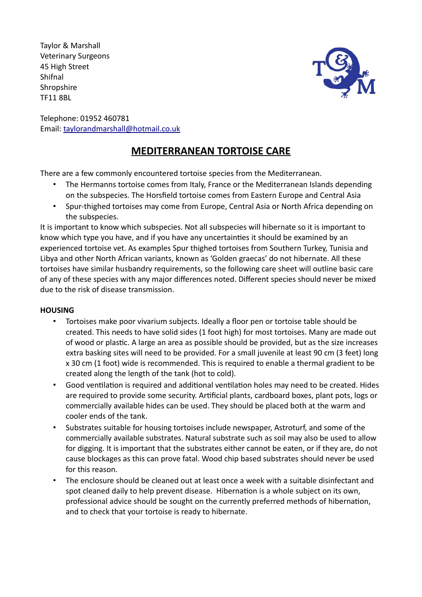Taylor & Marshall Veterinary Surgeons 45 High Street Shifnal **Shropshire** TF11 8BL



Telephone: 01952 460781 Email: taylorandmarshall@hotmail.co.uk

# **MEDITERRANEAN TORTOISE CARE**

There are a few commonly encountered tortoise species from the Mediterranean.

- The Hermanns tortoise comes from Italy, France or the Mediterranean Islands depending on the subspecies. The Horsfield tortoise comes from Eastern Europe and Central Asia
- Spur-thighed tortoises may come from Europe, Central Asia or North Africa depending on the subspecies.

It is important to know which subspecies. Not all subspecies will hibernate so it is important to know which type you have, and if you have any uncertainties it should be examined by an experienced tortoise vet. As examples Spur thighed tortoises from Southern Turkey, Tunisia and Libya and other North African variants, known as 'Golden graecas' do not hibernate. All these tortoises have similar husbandry requirements, so the following care sheet will outline basic care of any of these species with any major differences noted. Different species should never be mixed due to the risk of disease transmission.

### **HOUSING**

- Tortoises make poor vivarium subjects. Ideally a floor pen or tortoise table should be created. This needs to have solid sides (1 foot high) for most tortoises. Many are made out of wood or plastic. A large an area as possible should be provided, but as the size increases extra basking sites will need to be provided. For a small juvenile at least 90 cm (3 feet) long x 30 cm (1 foot) wide is recommended. This is required to enable a thermal gradient to be created along the length of the tank (hot to cold).
- Good ventilation is required and additional ventilation holes may need to be created. Hides are required to provide some security. Artificial plants, cardboard boxes, plant pots, logs or commercially available hides can be used. They should be placed both at the warm and cooler ends of the tank.
- Substrates suitable for housing tortoises include newspaper, Astroturf, and some of the commercially available substrates. Natural substrate such as soil may also be used to allow for digging. It is important that the substrates either cannot be eaten, or if they are, do not cause blockages as this can prove fatal. Wood chip based substrates should never be used for this reason.
- The enclosure should be cleaned out at least once a week with a suitable disinfectant and spot cleaned daily to help prevent disease. Hibernation is a whole subject on its own, professional advice should be sought on the currently preferred methods of hibernation, and to check that your tortoise is ready to hibernate.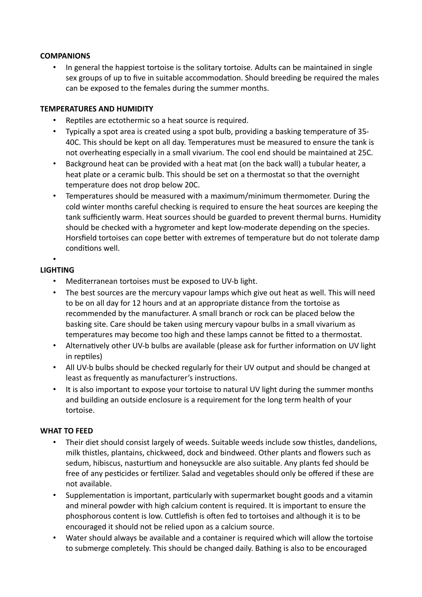### **COMPANIONS**

• In general the happiest tortoise is the solitary tortoise. Adults can be maintained in single sex groups of up to five in suitable accommodation. Should breeding be required the males can be exposed to the females during the summer months.

### **TEMPERATURES AND HUMIDITY**

- Reptiles are ectothermic so a heat source is required.
- Typically a spot area is created using a spot bulb, providing a basking temperature of 35- 40C. This should be kept on all day. Temperatures must be measured to ensure the tank is not overheating especially in a small vivarium. The cool end should be maintained at 25C.
- Background heat can be provided with a heat mat (on the back wall) a tubular heater, a heat plate or a ceramic bulb. This should be set on a thermostat so that the overnight temperature does not drop below 20C.
- Temperatures should be measured with a maximum/minimum thermometer. During the cold winter months careful checking is required to ensure the heat sources are keeping the tank sufficiently warm. Heat sources should be guarded to prevent thermal burns. Humidity should be checked with a hygrometer and kept low-moderate depending on the species. Horsfield tortoises can cope better with extremes of temperature but do not tolerate damp conditions well.

#### • **LIGHTING**

- Mediterranean tortoises must be exposed to UV-b light.
- The best sources are the mercury vapour lamps which give out heat as well. This will need to be on all day for 12 hours and at an appropriate distance from the tortoise as recommended by the manufacturer. A small branch or rock can be placed below the basking site. Care should be taken using mercury vapour bulbs in a small vivarium as temperatures may become too high and these lamps cannot be fitted to a thermostat.
- Alternatively other UV-b bulbs are available (please ask for further information on UV light in reptiles)
- All UV-b bulbs should be checked regularly for their UV output and should be changed at least as frequently as manufacturer's instructions.
- It is also important to expose your tortoise to natural UV light during the summer months and building an outside enclosure is a requirement for the long term health of your tortoise.

### **WHAT TO FEED**

- Their diet should consist largely of weeds. Suitable weeds include sow thistles, dandelions, milk thistles, plantains, chickweed, dock and bindweed. Other plants and flowers such as sedum, hibiscus, nasturtium and honeysuckle are also suitable. Any plants fed should be free of any pesticides or fertilizer. Salad and vegetables should only be offered if these are not available.
- Supplementation is important, particularly with supermarket bought goods and a vitamin and mineral powder with high calcium content is required. It is important to ensure the phosphorous content is low. Cuttlefish is often fed to tortoises and although it is to be encouraged it should not be relied upon as a calcium source.
- Water should always be available and a container is required which will allow the tortoise to submerge completely. This should be changed daily. Bathing is also to be encouraged